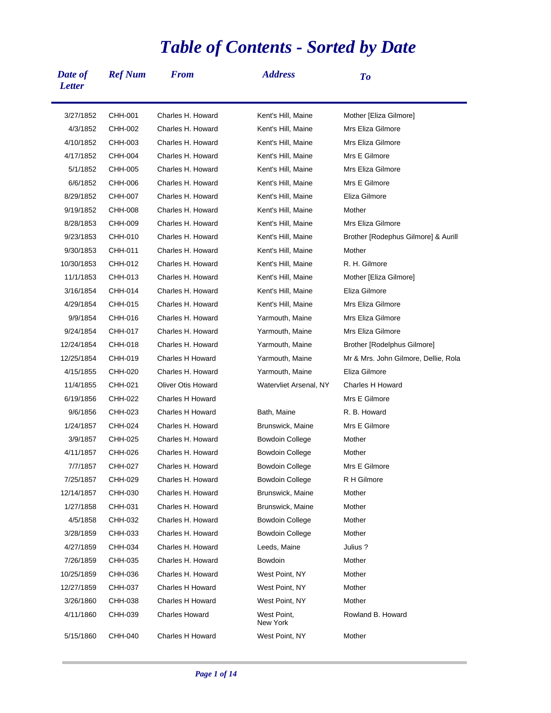## *Table of Contents - Sorted by Date*

| Date of<br><b>Letter</b> | <b>Ref Num</b> | <b>From</b>               | <b>Address</b>          | To                                   |
|--------------------------|----------------|---------------------------|-------------------------|--------------------------------------|
| 3/27/1852                | CHH-001        | Charles H. Howard         | Kent's Hill, Maine      | Mother [Eliza Gilmore]               |
| 4/3/1852                 | CHH-002        | Charles H. Howard         | Kent's Hill, Maine      | Mrs Eliza Gilmore                    |
| 4/10/1852                | CHH-003        | Charles H. Howard         | Kent's Hill, Maine      | Mrs Eliza Gilmore                    |
| 4/17/1852                | CHH-004        | Charles H. Howard         | Kent's Hill, Maine      | Mrs E Gilmore                        |
| 5/1/1852                 | CHH-005        | Charles H. Howard         | Kent's Hill, Maine      | Mrs Eliza Gilmore                    |
| 6/6/1852                 | CHH-006        | Charles H. Howard         | Kent's Hill, Maine      | Mrs E Gilmore                        |
| 8/29/1852                | CHH-007        | Charles H. Howard         | Kent's Hill, Maine      | Eliza Gilmore                        |
| 9/19/1852                | CHH-008        | Charles H. Howard         | Kent's Hill, Maine      | Mother                               |
| 8/28/1853                | CHH-009        | Charles H. Howard         | Kent's Hill, Maine      | Mrs Eliza Gilmore                    |
| 9/23/1853                | CHH-010        | Charles H. Howard         | Kent's Hill, Maine      | Brother [Rodephus Gilmore] & Aurill  |
| 9/30/1853                | CHH-011        | Charles H. Howard         | Kent's Hill, Maine      | Mother                               |
| 10/30/1853               | CHH-012        | Charles H. Howard         | Kent's Hill, Maine      | R. H. Gilmore                        |
| 11/1/1853                | CHH-013        | Charles H. Howard         | Kent's Hill, Maine      | Mother [Eliza Gilmore]               |
| 3/16/1854                | CHH-014        | Charles H. Howard         | Kent's Hill, Maine      | Eliza Gilmore                        |
| 4/29/1854                | CHH-015        | Charles H. Howard         | Kent's Hill, Maine      | Mrs Eliza Gilmore                    |
| 9/9/1854                 | CHH-016        | Charles H. Howard         | Yarmouth, Maine         | Mrs Eliza Gilmore                    |
| 9/24/1854                | CHH-017        | Charles H. Howard         | Yarmouth, Maine         | Mrs Eliza Gilmore                    |
| 12/24/1854               | CHH-018        | Charles H. Howard         | Yarmouth, Maine         | Brother [Rodelphus Gilmore]          |
| 12/25/1854               | CHH-019        | Charles H Howard          | Yarmouth, Maine         | Mr & Mrs. John Gilmore, Dellie, Rola |
| 4/15/1855                | CHH-020        | Charles H. Howard         | Yarmouth, Maine         | Eliza Gilmore                        |
| 11/4/1855                | CHH-021        | <b>Oliver Otis Howard</b> | Watervliet Arsenal, NY  | Charles H Howard                     |
| 6/19/1856                | CHH-022        | Charles H Howard          |                         | Mrs E Gilmore                        |
| 9/6/1856                 | CHH-023        | Charles H Howard          | Bath, Maine             | R. B. Howard                         |
| 1/24/1857                | CHH-024        | Charles H. Howard         | Brunswick, Maine        | Mrs E Gilmore                        |
| 3/9/1857                 | CHH-025        | Charles H. Howard         | Bowdoin College         | Mother                               |
| 4/11/1857                | CHH-026        | Charles H. Howard         | Bowdoin College         | Mother                               |
| 7/7/1857                 | CHH-027        | Charles H. Howard         | <b>Bowdoin College</b>  | Mrs E Gilmore                        |
| 7/25/1857                | CHH-029        | Charles H. Howard         | <b>Bowdoin College</b>  | R H Gilmore                          |
| 12/14/1857               | CHH-030        | Charles H. Howard         | Brunswick, Maine        | Mother                               |
| 1/27/1858                | CHH-031        | Charles H. Howard         | Brunswick, Maine        | Mother                               |
| 4/5/1858                 | CHH-032        | Charles H. Howard         | <b>Bowdoin College</b>  | Mother                               |
| 3/28/1859                | CHH-033        | Charles H. Howard         | Bowdoin College         | Mother                               |
| 4/27/1859                | CHH-034        | Charles H. Howard         | Leeds, Maine            | Julius ?                             |
| 7/26/1859                | CHH-035        | Charles H. Howard         | Bowdoin                 | Mother                               |
| 10/25/1859               | CHH-036        | Charles H. Howard         | West Point, NY          | Mother                               |
| 12/27/1859               | CHH-037        | Charles H Howard          | West Point, NY          | Mother                               |
| 3/26/1860                | CHH-038        | Charles H Howard          | West Point, NY          | Mother                               |
| 4/11/1860                | CHH-039        | Charles Howard            | West Point,<br>New York | Rowland B. Howard                    |
| 5/15/1860                | CHH-040        | Charles H Howard          | West Point, NY          | Mother                               |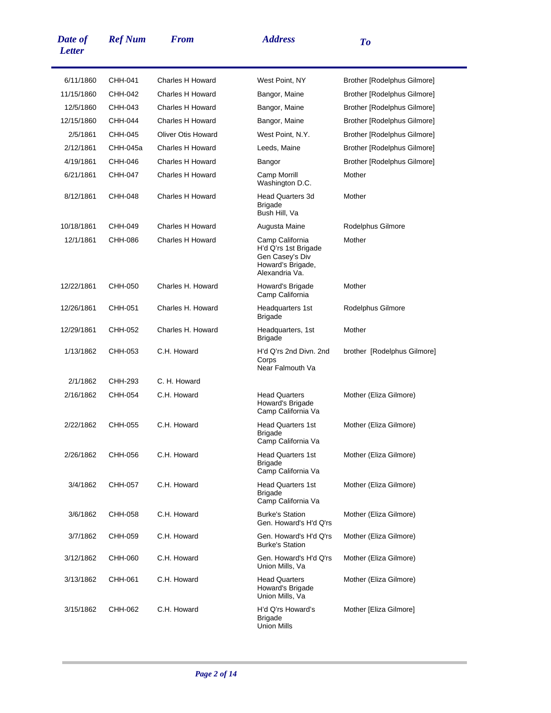| Date of<br><b>Letter</b> | <b>Ref Num</b> | <b>From</b>               | <b>Address</b>                                                                                    | To                                 |
|--------------------------|----------------|---------------------------|---------------------------------------------------------------------------------------------------|------------------------------------|
| 6/11/1860                | CHH-041        | <b>Charles H Howard</b>   | West Point, NY                                                                                    | <b>Brother [Rodelphus Gilmore]</b> |
| 11/15/1860               | CHH-042        | Charles H Howard          | Bangor, Maine                                                                                     | Brother [Rodelphus Gilmore]        |
| 12/5/1860                | CHH-043        | Charles H Howard          | Bangor, Maine                                                                                     | Brother [Rodelphus Gilmore]        |
| 12/15/1860               | CHH-044        | <b>Charles H Howard</b>   | Bangor, Maine                                                                                     | Brother [Rodelphus Gilmore]        |
| 2/5/1861                 | CHH-045        | <b>Oliver Otis Howard</b> | West Point, N.Y.                                                                                  | Brother [Rodelphus Gilmore]        |
| 2/12/1861                | CHH-045a       | Charles H Howard          | Leeds, Maine                                                                                      | Brother [Rodelphus Gilmore]        |
| 4/19/1861                | CHH-046        | <b>Charles H Howard</b>   | Bangor                                                                                            | Brother [Rodelphus Gilmore]        |
| 6/21/1861                | CHH-047        | Charles H Howard          | Camp Morrill<br>Washington D.C.                                                                   | Mother                             |
| 8/12/1861                | CHH-048        | <b>Charles H Howard</b>   | <b>Head Quarters 3d</b><br><b>Brigade</b><br>Bush Hill, Va                                        | Mother                             |
| 10/18/1861               | CHH-049        | <b>Charles H Howard</b>   | Augusta Maine                                                                                     | Rodelphus Gilmore                  |
| 12/1/1861                | CHH-086        | Charles H Howard          | Camp California<br>H'd Q'rs 1st Brigade<br>Gen Casey's Div<br>Howard's Brigade,<br>Alexandria Va. | Mother                             |
| 12/22/1861               | CHH-050        | Charles H. Howard         | Howard's Brigade<br>Camp California                                                               | Mother                             |
| 12/26/1861               | CHH-051        | Charles H. Howard         | Headquarters 1st<br><b>Brigade</b>                                                                | Rodelphus Gilmore                  |
| 12/29/1861               | CHH-052        | Charles H. Howard         | Headquarters, 1st<br><b>Brigade</b>                                                               | Mother                             |
| 1/13/1862                | CHH-053        | C.H. Howard               | H'd Q'rs 2nd Divn. 2nd<br>Corps<br>Near Falmouth Va                                               | brother [Rodelphus Gilmore]        |
| 2/1/1862                 | CHH-293        | C. H. Howard              |                                                                                                   |                                    |
| 2/16/1862                | CHH-054        | C.H. Howard               | <b>Head Quarters</b><br>Howard's Brigade<br>Camp California Va                                    | Mother (Eliza Gilmore)             |
| 2/22/1862                | CHH-055        | C.H. Howard               | <b>Head Quarters 1st</b><br>Brigade<br>Camp California Va                                         | Mother (Eliza Gilmore)             |
| 2/26/1862                | CHH-056        | C.H. Howard               | <b>Head Quarters 1st</b><br><b>Brigade</b><br>Camp California Va                                  | Mother (Eliza Gilmore)             |
| 3/4/1862                 | CHH-057        | C.H. Howard               | <b>Head Quarters 1st</b><br><b>Brigade</b><br>Camp California Va                                  | Mother (Eliza Gilmore)             |
| 3/6/1862                 | CHH-058        | C.H. Howard               | <b>Burke's Station</b><br>Gen. Howard's H'd O'rs                                                  | Mother (Eliza Gilmore)             |
| 3/7/1862                 | CHH-059        | C.H. Howard               | Gen. Howard's H'd Q'rs<br><b>Burke's Station</b>                                                  | Mother (Eliza Gilmore)             |
| 3/12/1862                | CHH-060        | C.H. Howard               | Gen. Howard's H'd Q'rs<br>Union Mills, Va                                                         | Mother (Eliza Gilmore)             |
| 3/13/1862                | CHH-061        | C.H. Howard               | <b>Head Quarters</b><br>Howard's Brigade<br>Union Mills, Va                                       | Mother (Eliza Gilmore)             |
| 3/15/1862                | CHH-062        | C.H. Howard               | H'd Q'rs Howard's<br><b>Brigade</b><br><b>Union Mills</b>                                         | Mother [Eliza Gilmore]             |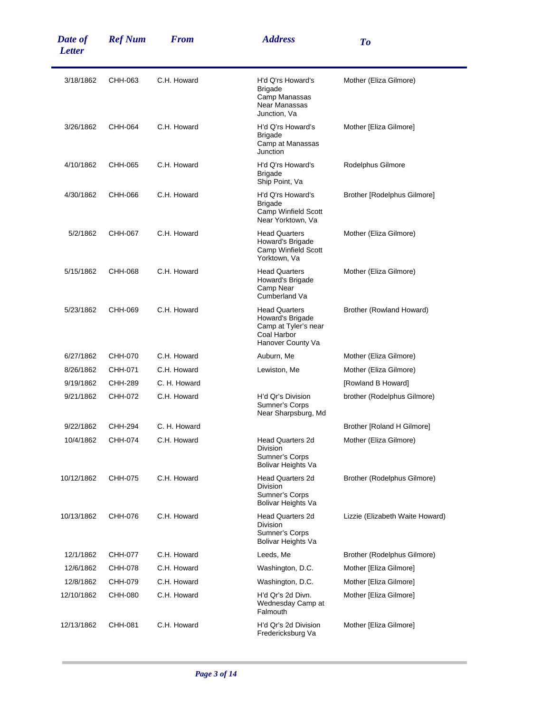| Date of<br><b>Letter</b> | <b>Ref Num</b> | <b>From</b>  | <b>Address</b>                                                                                       | To                              |
|--------------------------|----------------|--------------|------------------------------------------------------------------------------------------------------|---------------------------------|
| 3/18/1862                | CHH-063        | C.H. Howard  | H'd Q'rs Howard's<br><b>Brigade</b><br>Camp Manassas<br>Near Manassas<br>Junction, Va                | Mother (Eliza Gilmore)          |
| 3/26/1862                | CHH-064        | C.H. Howard  | H'd Q'rs Howard's<br><b>Brigade</b><br>Camp at Manassas<br>Junction                                  | Mother [Eliza Gilmore]          |
| 4/10/1862                | CHH-065        | C.H. Howard  | H'd Q'rs Howard's<br><b>Brigade</b><br>Ship Point, Va                                                | Rodelphus Gilmore               |
| 4/30/1862                | CHH-066        | C.H. Howard  | H'd Q'rs Howard's<br><b>Brigade</b><br>Camp Winfield Scott<br>Near Yorktown, Va                      | Brother [Rodelphus Gilmore]     |
| 5/2/1862                 | CHH-067        | C.H. Howard  | <b>Head Quarters</b><br>Howard's Brigade<br>Camp Winfield Scott<br>Yorktown, Va                      | Mother (Eliza Gilmore)          |
| 5/15/1862                | CHH-068        | C.H. Howard  | <b>Head Quarters</b><br>Howard's Brigade<br>Camp Near<br>Cumberland Va                               | Mother (Eliza Gilmore)          |
| 5/23/1862                | CHH-069        | C.H. Howard  | <b>Head Quarters</b><br>Howard's Brigade<br>Camp at Tyler's near<br>Coal Harbor<br>Hanover County Va | Brother (Rowland Howard)        |
| 6/27/1862                | CHH-070        | C.H. Howard  | Auburn, Me                                                                                           | Mother (Eliza Gilmore)          |
| 8/26/1862                | CHH-071        | C.H. Howard  | Lewiston, Me                                                                                         | Mother (Eliza Gilmore)          |
| 9/19/1862                | CHH-289        | C. H. Howard |                                                                                                      | [Rowland B Howard]              |
| 9/21/1862                | CHH-072        | C.H. Howard  | H'd Qr's Division<br>Sumner's Corps<br>Near Sharpsburg, Md                                           | brother (Rodelphus Gilmore)     |
| 9/22/1862                | CHH-294        | C. H. Howard |                                                                                                      | Brother [Roland H Gilmore]      |
| 10/4/1862                | CHH-074        | C.H. Howard  | <b>Head Quarters 2d</b><br>Division<br>Sumner's Corps<br>Bolivar Heights Va                          | Mother (Eliza Gilmore)          |
| 10/12/1862               | CHH-075        | C.H. Howard  | <b>Head Quarters 2d</b><br><b>Division</b><br>Sumner's Corps<br>Bolivar Heights Va                   | Brother (Rodelphus Gilmore)     |
| 10/13/1862               | CHH-076        | C.H. Howard  | Head Quarters 2d<br><b>Division</b><br>Sumner's Corps<br>Bolivar Heights Va                          | Lizzie (Elizabeth Waite Howard) |
| 12/1/1862                | CHH-077        | C.H. Howard  | Leeds, Me                                                                                            | Brother (Rodelphus Gilmore)     |
| 12/6/1862                | CHH-078        | C.H. Howard  | Washington, D.C.                                                                                     | Mother [Eliza Gilmore]          |
| 12/8/1862                | CHH-079        | C.H. Howard  | Washington, D.C.                                                                                     | Mother [Eliza Gilmore]          |
| 12/10/1862               | CHH-080        | C.H. Howard  | H'd Qr's 2d Divn.<br>Wednesday Camp at<br>Falmouth                                                   | Mother [Eliza Gilmore]          |
| 12/13/1862               | CHH-081        | C.H. Howard  | H'd Qr's 2d Division<br>Fredericksburg Va                                                            | Mother [Eliza Gilmore]          |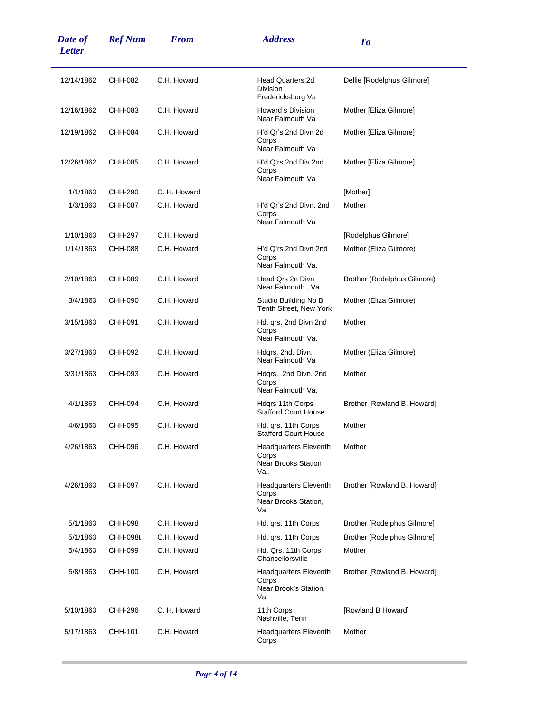| Date of<br><b>Letter</b> | <b>Ref Num</b> | <b>From</b>  | <b>Address</b>                                                              | To                                 |
|--------------------------|----------------|--------------|-----------------------------------------------------------------------------|------------------------------------|
| 12/14/1862               | CHH-082        | C.H. Howard  | <b>Head Quarters 2d</b><br><b>Division</b><br>Fredericksburg Va             | Dellie [Rodelphus Gilmore]         |
| 12/16/1862               | CHH-083        | C.H. Howard  | Howard's Division<br>Near Falmouth Va                                       | Mother [Eliza Gilmore]             |
| 12/19/1862               | CHH-084        | C.H. Howard  | H'd Qr's 2nd Divn 2d<br>Corps<br>Near Falmouth Va                           | Mother [Eliza Gilmore]             |
| 12/26/1862               | CHH-085        | C.H. Howard  | H'd Q'rs 2nd Div 2nd<br>Corps<br>Near Falmouth Va                           | Mother [Eliza Gilmore]             |
| 1/1/1863                 | CHH-290        | C. H. Howard |                                                                             | [Mother]                           |
| 1/3/1863                 | CHH-087        | C.H. Howard  | H'd Qr's 2nd Divn. 2nd<br>Corps<br>Near Falmouth Va                         | Mother                             |
| 1/10/1863                | CHH-297        | C.H. Howard  |                                                                             | [Rodelphus Gilmore]                |
| 1/14/1863                | CHH-088        | C.H. Howard  | H'd Q'rs 2nd Divn 2nd<br>Corps<br>Near Falmouth Va.                         | Mother (Eliza Gilmore)             |
| 2/10/1863                | CHH-089        | C.H. Howard  | Head Qrs 2n Divn<br>Near Falmouth, Va                                       | Brother (Rodelphus Gilmore)        |
| 3/4/1863                 | CHH-090        | C.H. Howard  | Studio Building No B<br>Tenth Street, New York                              | Mother (Eliza Gilmore)             |
| 3/15/1863                | CHH-091        | C.H. Howard  | Hd. qrs. 2nd Divn 2nd<br>Corps<br>Near Falmouth Va.                         | Mother                             |
| 3/27/1863                | CHH-092        | C.H. Howard  | Hdgrs. 2nd. Divn.<br>Near Falmouth Va                                       | Mother (Eliza Gilmore)             |
| 3/31/1863                | CHH-093        | C.H. Howard  | Hdqrs. 2nd Divn. 2nd<br>Corps<br>Near Falmouth Va.                          | Mother                             |
| 4/1/1863                 | CHH-094        | C.H. Howard  | Hdqrs 11th Corps<br><b>Stafford Court House</b>                             | Brother [Rowland B. Howard]        |
| 4/6/1863                 | CHH-095        | C.H. Howard  | Hd. qrs. 11th Corps<br><b>Stafford Court House</b>                          | Mother                             |
| 4/26/1863                | CHH-096        | C.H. Howard  | <b>Headquarters Eleventh</b><br>Corps<br><b>Near Brooks Station</b><br>Va., | Mother                             |
| 4/26/1863                | CHH-097        | C.H. Howard  | <b>Headquarters Eleventh</b><br>Corps<br>Near Brooks Station,<br>Va         | Brother [Rowland B. Howard]        |
| 5/1/1863                 | CHH-098        | C.H. Howard  | Hd. qrs. 11th Corps                                                         | <b>Brother [Rodelphus Gilmore]</b> |
| 5/1/1863                 | CHH-098t       | C.H. Howard  | Hd. qrs. 11th Corps                                                         | Brother [Rodelphus Gilmore]        |
| 5/4/1863                 | CHH-099        | C.H. Howard  | Hd. Qrs. 11th Corps<br>Chancellorsville                                     | Mother                             |
| 5/8/1863                 | CHH-100        | C.H. Howard  | <b>Headquarters Eleventh</b><br>Corps<br>Near Brook's Station,<br>Va        | Brother [Rowland B. Howard]        |
| 5/10/1863                | CHH-296        | C. H. Howard | 11th Corps<br>Nashville, Tenn                                               | [Rowland B Howard]                 |
| 5/17/1863                | CHH-101        | C.H. Howard  | <b>Headquarters Eleventh</b><br>Corps                                       | Mother                             |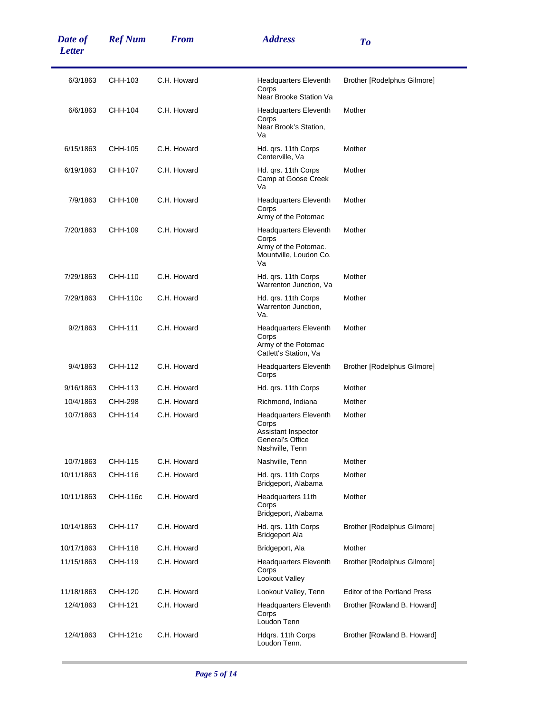| Date of<br><b>Letter</b> | <b>Ref Num</b>  | <b>From</b> | <b>Address</b>                                                                                      | To                                  |
|--------------------------|-----------------|-------------|-----------------------------------------------------------------------------------------------------|-------------------------------------|
| 6/3/1863                 | CHH-103         | C.H. Howard | Headquarters Eleventh<br>Corps<br>Near Brooke Station Va                                            | Brother [Rodelphus Gilmore]         |
| 6/6/1863                 | CHH-104         | C.H. Howard | <b>Headquarters Eleventh</b><br>Corps<br>Near Brook's Station,<br>Va                                | Mother                              |
| 6/15/1863                | CHH-105         | C.H. Howard | Hd. qrs. 11th Corps<br>Centerville, Va                                                              | Mother                              |
| 6/19/1863                | CHH-107         | C.H. Howard | Hd. qrs. 11th Corps<br>Camp at Goose Creek<br>Va                                                    | Mother                              |
| 7/9/1863                 | CHH-108         | C.H. Howard | <b>Headquarters Eleventh</b><br>Corps<br>Army of the Potomac                                        | Mother                              |
| 7/20/1863                | CHH-109         | C.H. Howard | <b>Headquarters Eleventh</b><br>Corps<br>Army of the Potomac.<br>Mountville, Loudon Co.<br>Va       | Mother                              |
| 7/29/1863                | CHH-110         | C.H. Howard | Hd. qrs. 11th Corps<br>Warrenton Junction, Va                                                       | Mother                              |
| 7/29/1863                | CHH-110c        | C.H. Howard | Hd. qrs. 11th Corps<br>Warrenton Junction,<br>Va.                                                   | Mother                              |
| 9/2/1863                 | CHH-111         | C.H. Howard | <b>Headquarters Eleventh</b><br>Corps<br>Army of the Potomac<br>Catlett's Station, Va               | Mother                              |
| 9/4/1863                 | CHH-112         | C.H. Howard | <b>Headquarters Eleventh</b><br>Corps                                                               | Brother [Rodelphus Gilmore]         |
| 9/16/1863                | CHH-113         | C.H. Howard | Hd. qrs. 11th Corps                                                                                 | Mother                              |
| 10/4/1863                | CHH-298         | C.H. Howard | Richmond, Indiana                                                                                   | Mother                              |
| 10/7/1863                | CHH-114         | C.H. Howard | <b>Headquarters Eleventh</b><br>Corps<br>Assistant Inspector<br>General's Office<br>Nashville, Tenn | Mother                              |
| 10/7/1863                | CHH-115         | C.H. Howard | Nashville, Tenn                                                                                     | Mother                              |
| 10/11/1863               | CHH-116         | C.H. Howard | Hd. qrs. 11th Corps<br>Bridgeport, Alabama                                                          | Mother                              |
| 10/11/1863               | CHH-116c        | C.H. Howard | Headquarters 11th<br>Corps<br>Bridgeport, Alabama                                                   | Mother                              |
| 10/14/1863               | CHH-117         | C.H. Howard | Hd. grs. 11th Corps<br><b>Bridgeport Ala</b>                                                        | Brother [Rodelphus Gilmore]         |
| 10/17/1863               | CHH-118         | C.H. Howard | Bridgeport, Ala                                                                                     | Mother                              |
| 11/15/1863               | CHH-119         | C.H. Howard | <b>Headquarters Eleventh</b><br>Corps<br>Lookout Valley                                             | Brother [Rodelphus Gilmore]         |
| 11/18/1863               | CHH-120         | C.H. Howard | Lookout Valley, Tenn                                                                                | <b>Editor of the Portland Press</b> |
| 12/4/1863                | CHH-121         | C.H. Howard | <b>Headquarters Eleventh</b><br>Corps<br>Loudon Tenn                                                | Brother [Rowland B. Howard]         |
| 12/4/1863                | <b>CHH-121c</b> | C.H. Howard | Hdgrs. 11th Corps<br>Loudon Tenn.                                                                   | Brother [Rowland B. Howard]         |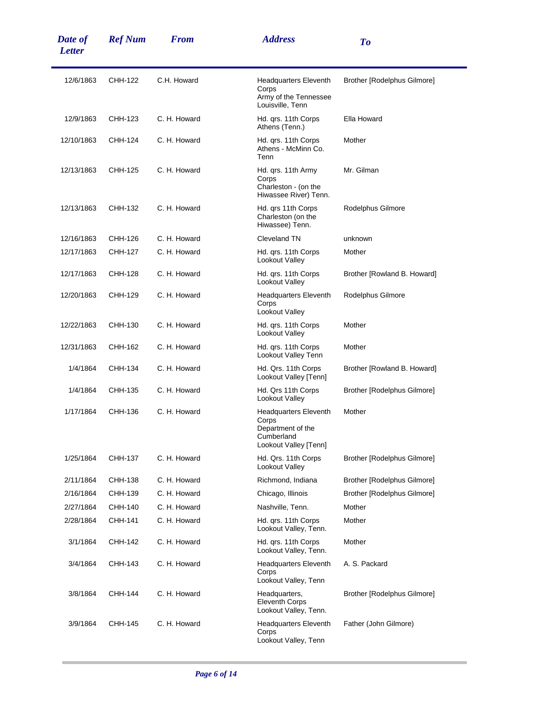| Date of<br><b>Letter</b> | <b>Ref Num</b> | <b>From</b>  | <b>Address</b>                                                                                    | To                                 |
|--------------------------|----------------|--------------|---------------------------------------------------------------------------------------------------|------------------------------------|
| 12/6/1863                | CHH-122        | C.H. Howard  | <b>Headquarters Eleventh</b><br>Corps<br>Army of the Tennessee<br>Louisville, Tenn                | Brother [Rodelphus Gilmore]        |
| 12/9/1863                | CHH-123        | C. H. Howard | Hd. qrs. 11th Corps<br>Athens (Tenn.)                                                             | Ella Howard                        |
| 12/10/1863               | CHH-124        | C. H. Howard | Hd. qrs. 11th Corps<br>Athens - McMinn Co.<br>Tenn                                                | Mother                             |
| 12/13/1863               | CHH-125        | C. H. Howard | Hd. qrs. 11th Army<br>Corps<br>Charleston - (on the<br>Hiwassee River) Tenn.                      | Mr. Gilman                         |
| 12/13/1863               | CHH-132        | C. H. Howard | Hd. qrs 11th Corps<br>Charleston (on the<br>Hiwassee) Tenn.                                       | Rodelphus Gilmore                  |
| 12/16/1863               | CHH-126        | C. H. Howard | Cleveland TN                                                                                      | unknown                            |
| 12/17/1863               | CHH-127        | C. H. Howard | Hd. grs. 11th Corps<br>Lookout Valley                                                             | Mother                             |
| 12/17/1863               | CHH-128        | C. H. Howard | Hd. grs. 11th Corps<br>Lookout Valley                                                             | Brother [Rowland B. Howard]        |
| 12/20/1863               | CHH-129        | C. H. Howard | <b>Headquarters Eleventh</b><br>Corps<br>Lookout Valley                                           | Rodelphus Gilmore                  |
| 12/22/1863               | CHH-130        | C. H. Howard | Hd. grs. 11th Corps<br>Lookout Valley                                                             | Mother                             |
| 12/31/1863               | CHH-162        | C. H. Howard | Hd. qrs. 11th Corps<br>Lookout Valley Tenn                                                        | Mother                             |
| 1/4/1864                 | CHH-134        | C. H. Howard | Hd. Qrs. 11th Corps<br>Lookout Valley [Tenn]                                                      | Brother [Rowland B. Howard]        |
| 1/4/1864                 | CHH-135        | C. H. Howard | Hd. Qrs 11th Corps<br>Lookout Valley                                                              | Brother [Rodelphus Gilmore]        |
| 1/17/1864                | CHH-136        | C. H. Howard | <b>Headquarters Eleventh</b><br>Corps<br>Department of the<br>Cumberland<br>Lookout Valley [Tenn] | Mother                             |
| 1/25/1864                | CHH-137        | C. H. Howard | Hd. Qrs. 11th Corps<br>Lookout Valley                                                             | Brother [Rodelphus Gilmore]        |
| 2/11/1864                | CHH-138        | C. H. Howard | Richmond, Indiana                                                                                 | <b>Brother [Rodelphus Gilmore]</b> |
| 2/16/1864                | CHH-139        | C. H. Howard | Chicago, Illinois                                                                                 | Brother [Rodelphus Gilmore]        |
| 2/27/1864                | CHH-140        | C. H. Howard | Nashville, Tenn.                                                                                  | Mother                             |
| 2/28/1864                | CHH-141        | C. H. Howard | Hd. grs. 11th Corps<br>Lookout Valley, Tenn.                                                      | Mother                             |
| 3/1/1864                 | CHH-142        | C. H. Howard | Hd. qrs. 11th Corps<br>Lookout Valley, Tenn.                                                      | Mother                             |
| 3/4/1864                 | CHH-143        | C. H. Howard | <b>Headquarters Eleventh</b><br>Corps<br>Lookout Valley, Tenn                                     | A. S. Packard                      |
| 3/8/1864                 | CHH-144        | C. H. Howard | Headquarters,<br><b>Eleventh Corps</b><br>Lookout Valley, Tenn.                                   | Brother [Rodelphus Gilmore]        |
| 3/9/1864                 | CHH-145        | C. H. Howard | <b>Headquarters Eleventh</b><br>Corps<br>Lookout Valley, Tenn                                     | Father (John Gilmore)              |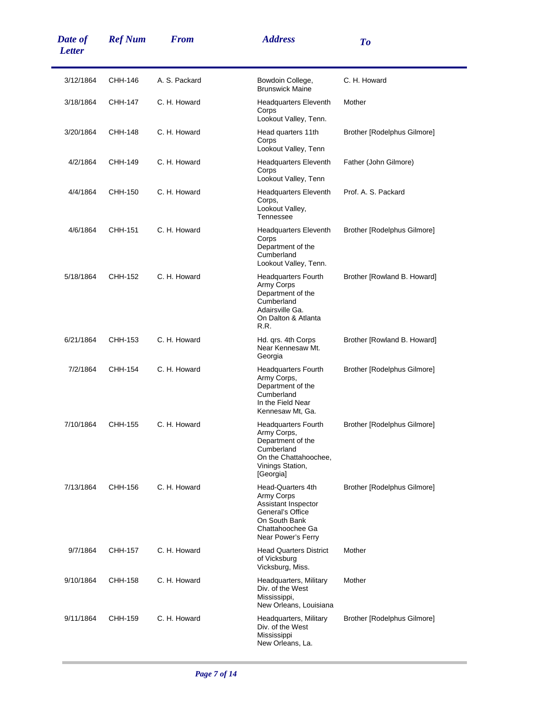| Date of<br><b>Letter</b> | <b>Ref Num</b> | <b>From</b>   | <b>Address</b>                                                                                                                         | To                          |
|--------------------------|----------------|---------------|----------------------------------------------------------------------------------------------------------------------------------------|-----------------------------|
| 3/12/1864                | CHH-146        | A. S. Packard | Bowdoin College,<br><b>Brunswick Maine</b>                                                                                             | C. H. Howard                |
| 3/18/1864                | CHH-147        | C. H. Howard  | <b>Headquarters Eleventh</b><br>Corps<br>Lookout Valley, Tenn.                                                                         | Mother                      |
| 3/20/1864                | CHH-148        | C. H. Howard  | Head quarters 11th<br>Corps<br>Lookout Valley, Tenn                                                                                    | Brother [Rodelphus Gilmore] |
| 4/2/1864                 | CHH-149        | C. H. Howard  | <b>Headquarters Eleventh</b><br>Corps<br>Lookout Valley, Tenn                                                                          | Father (John Gilmore)       |
| 4/4/1864                 | CHH-150        | C. H. Howard  | <b>Headquarters Eleventh</b><br>Corps,<br>Lookout Valley,<br>Tennessee                                                                 | Prof. A. S. Packard         |
| 4/6/1864                 | CHH-151        | C. H. Howard  | <b>Headquarters Eleventh</b><br>Corps<br>Department of the<br>Cumberland<br>Lookout Valley, Tenn.                                      | Brother [Rodelphus Gilmore] |
| 5/18/1864                | CHH-152        | C. H. Howard  | <b>Headquarters Fourth</b><br>Army Corps<br>Department of the<br>Cumberland<br>Adairsville Ga.<br>On Dalton & Atlanta<br>R.R.          | Brother [Rowland B. Howard] |
| 6/21/1864                | CHH-153        | C. H. Howard  | Hd. qrs. 4th Corps<br>Near Kennesaw Mt.<br>Georgia                                                                                     | Brother [Rowland B. Howard] |
| 7/2/1864                 | CHH-154        | C. H. Howard  | <b>Headquarters Fourth</b><br>Army Corps,<br>Department of the<br>Cumberland<br>In the Field Near<br>Kennesaw Mt, Ga.                  | Brother [Rodelphus Gilmore] |
| 7/10/1864                | CHH-155        | C. H. Howard  | <b>Headquarters Fourth</b><br>Army Corps,<br>Department of the<br>Cumberland<br>On the Chattahoochee,<br>Vinings Station,<br>[Georgia] | Brother [Rodelphus Gilmore] |
| 7/13/1864                | CHH-156        | C. H. Howard  | Head-Quarters 4th<br>Army Corps<br>Assistant Inspector<br>General's Office<br>On South Bank<br>Chattahoochee Ga<br>Near Power's Ferry  | Brother [Rodelphus Gilmore] |
| 9/7/1864                 | CHH-157        | C. H. Howard  | <b>Head Quarters District</b><br>of Vicksburg<br>Vicksburg, Miss.                                                                      | Mother                      |
| 9/10/1864                | CHH-158        | C. H. Howard  | Headquarters, Military<br>Div. of the West<br>Mississippi,<br>New Orleans, Louisiana                                                   | Mother                      |
| 9/11/1864                | CHH-159        | C. H. Howard  | Headquarters, Military<br>Div. of the West<br>Mississippi<br>New Orleans, La.                                                          | Brother [Rodelphus Gilmore] |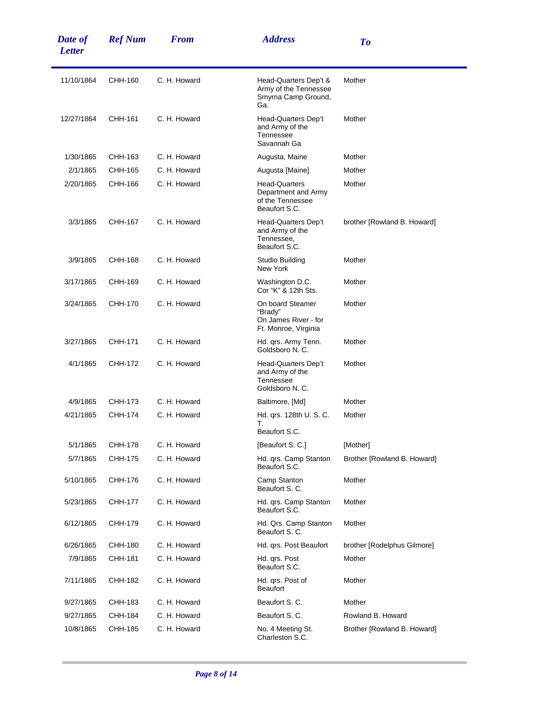| Date of<br><b>Letter</b> | <b>Ref Num</b> | <b>From</b>  | <b>Address</b>                                                                   | To                          |
|--------------------------|----------------|--------------|----------------------------------------------------------------------------------|-----------------------------|
| 11/10/1864               | CHH-160        | C. H. Howard | Head-Quarters Dep't &<br>Army of the Tennessee<br>Smyrna Camp Ground,<br>Ga.     | Mother                      |
| 12/27/1864               | CHH-161        | C. H. Howard | Head-Quarters Dep't<br>and Army of the<br>Tennessee<br>Savannah Ga               | Mother                      |
| 1/30/1865                | CHH-163        | C. H. Howard | Augusta, Maine                                                                   | Mother                      |
| 2/1/1865                 | CHH-165        | C. H. Howard | Augusta [Maine]                                                                  | Mother                      |
| 2/20/1865                | CHH-166        | C. H. Howard | <b>Head-Quarters</b><br>Department and Army<br>of the Tennessee<br>Beaufort S.C. | Mother                      |
| 3/3/1865                 | CHH-167        | C. H. Howard | Head-Quarters Dep't<br>and Army of the<br>Tennessee,<br>Beaufort S.C.            | brother [Rowland B. Howard] |
| 3/9/1865                 | CHH-168        | C. H. Howard | Studio Building<br>New York                                                      | Mother                      |
| 3/17/1865                | CHH-169        | C. H. Howard | Washington D.C.<br>Cor "K" & 12th Sts.                                           | Mother                      |
| 3/24/1865                | CHH-170        | C. H. Howard | On board Steamer<br>"Brady"<br>On James River - for<br>Ft. Monroe, Virginia      | Mother                      |
| 3/27/1865                | CHH-171        | C. H. Howard | Hd. qrs. Army Tenn.<br>Goldsboro N. C.                                           | Mother                      |
| 4/1/1865                 | CHH-172        | C. H. Howard | Head-Quarters Dep't<br>and Army of the<br>Tennessee<br>Goldsboro N. C.           | Mother                      |
| 4/9/1865                 | CHH-173        | C. H. Howard | Baltimore, [Md]                                                                  | Mother                      |
| 4/21/1865                | CHH-174        | C. H. Howard | Hd. grs. 128th U. S. C.<br>Т.                                                    | Mother                      |
|                          |                |              | Beaufort S.C.                                                                    |                             |
| 5/1/1865                 | CHH-178        | C. H. Howard | [Beaufort S. C.]                                                                 | [Mother]                    |
| 5/7/1865                 | CHH-175        | C. H. Howard | Hd. qrs. Camp Stanton<br>Beaufort S.C.                                           | Brother [Rowland B. Howard] |
| 5/10/1865                | CHH-176        | C. H. Howard | Camp Stanton<br>Beaufort S. C.                                                   | Mother                      |
| 5/23/1865                | <b>CHH-177</b> | C. H. Howard | Hd. qrs. Camp Stanton<br>Beaufort S.C.                                           | Mother                      |
| 6/12/1865                | CHH-179        | C. H. Howard | Hd. Qrs. Camp Stanton<br>Beaufort S. C.                                          | Mother                      |
| 6/26/1865                | CHH-180        | C. H. Howard | Hd. qrs. Post Beaufort                                                           | brother [Rodelphus Gilmore] |
| 7/9/1865                 | CHH-181        | C. H. Howard | Hd. qrs. Post<br>Beaufort S.C.                                                   | Mother                      |
| 7/11/1865                | CHH-182        | C. H. Howard | Hd. qrs. Post of<br><b>Beaufort</b>                                              | Mother                      |
| 9/27/1865                | CHH-183        | C. H. Howard | Beaufort S. C.                                                                   | Mother                      |
| 9/27/1865                | CHH-184        | C. H. Howard | Beaufort S. C.                                                                   | Rowland B. Howard           |
| 10/8/1865                | CHH-185        | C. H. Howard | No. 4 Meeting St.<br>Charleston S.C.                                             | Brother [Rowland B. Howard] |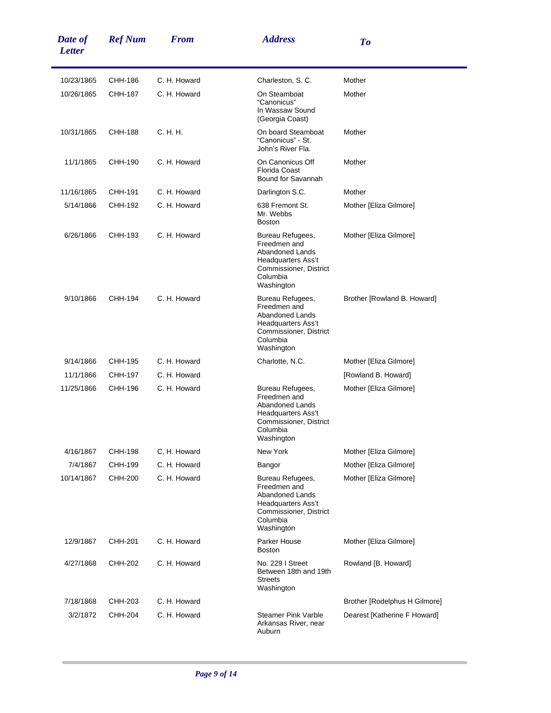| Date of<br><b>Letter</b> | <b>Ref Num</b> | <b>From</b>  | <b>Address</b>                                                                                                                              | To                            |
|--------------------------|----------------|--------------|---------------------------------------------------------------------------------------------------------------------------------------------|-------------------------------|
| 10/23/1865               | CHH-186        | C. H. Howard | Charleston, S.C.                                                                                                                            | Mother                        |
| 10/26/1865               | CHH-187        | C. H. Howard | On Steamboat<br>"Canonicus"<br>In Wassaw Sound<br>(Georgia Coast)                                                                           | Mother                        |
| 10/31/1865               | CHH-188        | C. H. H.     | On board Steamboat<br>"Canonicus" - St.<br>John's River Fla.                                                                                | Mother                        |
| 11/1/1865                | CHH-190        | C. H. Howard | On Canonicus Off<br><b>Florida Coast</b><br>Bound for Savannah                                                                              | Mother                        |
| 11/16/1865               | CHH-191        | C. H. Howard | Darlington S.C.                                                                                                                             | Mother                        |
| 5/14/1866                | CHH-192        | C. H. Howard | 638 Fremont St.<br>Mr. Webbs<br><b>Boston</b>                                                                                               | Mother [Eliza Gilmore]        |
| 6/26/1866                | CHH-193        | C. H. Howard | Bureau Refugees,<br>Freedmen and<br>Abandoned Lands<br>Headquarters Ass't<br>Commissioner, District<br>Columbia<br>Washington               | Mother [Eliza Gilmore]        |
| 9/10/1866                | CHH-194        | C. H. Howard | Bureau Refugees,<br>Freedmen and<br><b>Abandoned Lands</b><br>Headquarters Ass't<br>Commissioner, District<br>Columbia<br>Washington        | Brother [Rowland B. Howard]   |
| 9/14/1866                | CHH-195        | C. H. Howard | Charlotte, N.C.                                                                                                                             | Mother [Eliza Gilmore]        |
| 11/1/1866                | CHH-197        | C. H. Howard |                                                                                                                                             | [Rowland B. Howard]           |
| 11/25/1866               | CHH-196        | C. H. Howard | Bureau Refugees,<br>Freedmen and<br><b>Abandoned Lands</b><br>Headquarters Ass't<br>Commissioner, District<br>Columbia<br>Washington        | Mother [Eliza Gilmore]        |
| 4/16/1867                | CHH-198        | C. H. Howard | New York                                                                                                                                    | Mother [Eliza Gilmore]        |
| 7/4/1867                 | CHH-199        | C. H. Howard | Bangor                                                                                                                                      | Mother [Eliza Gilmore]        |
| 10/14/1867               | CHH-200        | C. H. Howard | Bureau Refugees,<br>Freedmen and<br><b>Abandoned Lands</b><br><b>Headquarters Ass't</b><br>Commissioner, District<br>Columbia<br>Washington | Mother [Eliza Gilmore]        |
| 12/9/1867                | CHH-201        | C. H. Howard | Parker House<br><b>Boston</b>                                                                                                               | Mother [Eliza Gilmore]        |
| 4/27/1868                | CHH-202        | C. H. Howard | No. 229   Street<br>Between 18th and 19th<br><b>Streets</b><br>Washington                                                                   | Rowland [B. Howard]           |
| 7/18/1868                | CHH-203        | C. H. Howard |                                                                                                                                             | Brother [Rodelphus H Gilmore] |
| 3/2/1872                 | CHH-204        | C. H. Howard | <b>Steamer Pink Varble</b><br>Arkansas River, near<br>Auburn                                                                                | Dearest [Katherine F Howard]  |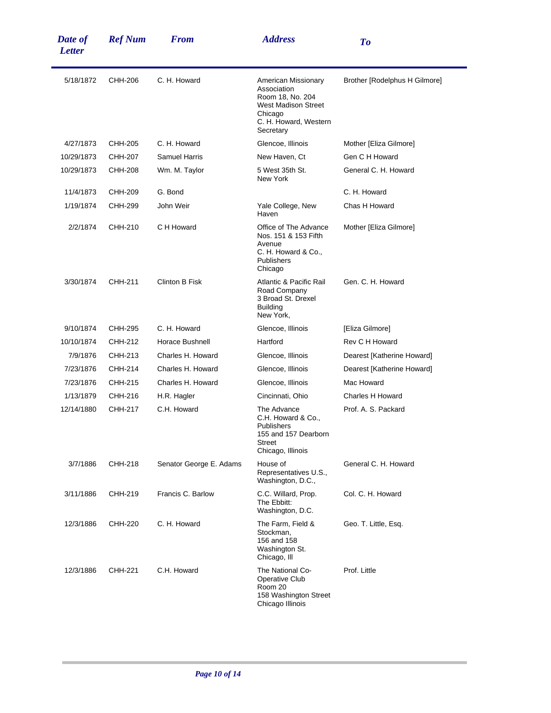| Date of<br><b>Letter</b> | <b>Ref Num</b> | <b>From</b>             | <b>Address</b>                                                                                                                        | To                            |
|--------------------------|----------------|-------------------------|---------------------------------------------------------------------------------------------------------------------------------------|-------------------------------|
| 5/18/1872                | CHH-206        | C. H. Howard            | American Missionary<br>Association<br>Room 18, No. 204<br><b>West Madison Street</b><br>Chicago<br>C. H. Howard, Western<br>Secretary | Brother [Rodelphus H Gilmore] |
| 4/27/1873                | CHH-205        | C. H. Howard            | Glencoe, Illinois                                                                                                                     | Mother [Eliza Gilmore]        |
| 10/29/1873               | CHH-207        | <b>Samuel Harris</b>    | New Haven, Ct                                                                                                                         | Gen C H Howard                |
| 10/29/1873               | CHH-208        | Wm. M. Taylor           | 5 West 35th St.<br>New York                                                                                                           | General C. H. Howard          |
| 11/4/1873                | CHH-209        | G. Bond                 |                                                                                                                                       | C. H. Howard                  |
| 1/19/1874                | <b>CHH-299</b> | John Weir               | Yale College, New<br>Haven                                                                                                            | Chas H Howard                 |
| 2/2/1874                 | CHH-210        | C H Howard              | Office of The Advance<br>Nos. 151 & 153 Fifth<br>Avenue<br>C. H. Howard & Co.,<br>Publishers<br>Chicago                               | Mother [Eliza Gilmore]        |
| 3/30/1874                | CHH-211        | <b>Clinton B Fisk</b>   | Atlantic & Pacific Rail<br>Road Company<br>3 Broad St. Drexel<br><b>Building</b><br>New York,                                         | Gen. C. H. Howard             |
| 9/10/1874                | CHH-295        | C. H. Howard            | Glencoe, Illinois                                                                                                                     | [Eliza Gilmore]               |
| 10/10/1874               | CHH-212        | Horace Bushnell         | Hartford                                                                                                                              | Rev C H Howard                |
| 7/9/1876                 | CHH-213        | Charles H. Howard       | Glencoe, Illinois                                                                                                                     | Dearest [Katherine Howard]    |
| 7/23/1876                | CHH-214        | Charles H. Howard       | Glencoe, Illinois                                                                                                                     | Dearest [Katherine Howard]    |
| 7/23/1876                | CHH-215        | Charles H. Howard       | Glencoe, Illinois                                                                                                                     | Mac Howard                    |
| 1/13/1879                | CHH-216        | H.R. Hagler             | Cincinnati, Ohio                                                                                                                      | <b>Charles H Howard</b>       |
| 12/14/1880               | CHH-217        | C.H. Howard             | The Advance<br>C.H. Howard & Co.,<br>Publishers<br>155 and 157 Dearborn<br>Street<br>Chicago, Illinois                                | Prof. A. S. Packard           |
| 3/7/1886                 | CHH-218        | Senator George E. Adams | House of<br>Representatives U.S.,<br>Washington, D.C.,                                                                                | General C. H. Howard          |
| 3/11/1886                | CHH-219        | Francis C. Barlow       | C.C. Willard, Prop.<br>The Ebbitt:<br>Washington, D.C.                                                                                | Col. C. H. Howard             |
| 12/3/1886                | CHH-220        | C. H. Howard            | The Farm, Field &<br>Stockman,<br>156 and 158<br>Washington St.<br>Chicago, III                                                       | Geo. T. Little, Esq.          |
| 12/3/1886                | CHH-221        | C.H. Howard             | The National Co-<br><b>Operative Club</b><br>Room 20<br>158 Washington Street<br>Chicago Illinois                                     | Prof. Little                  |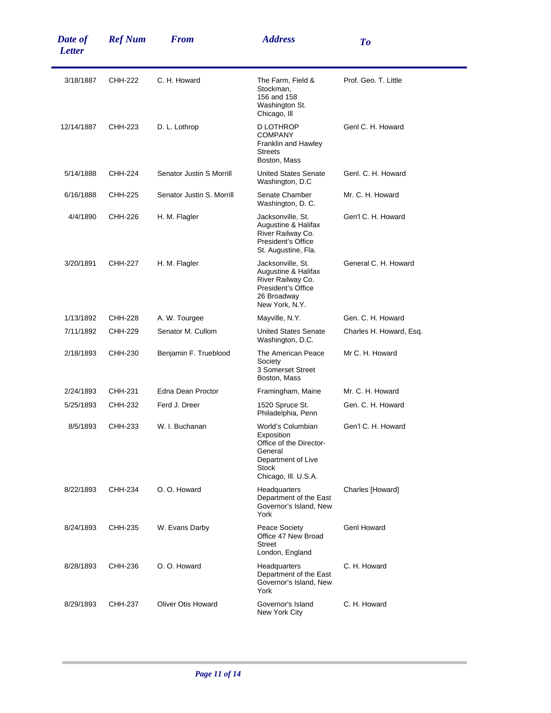| Date of<br><b>Letter</b> | <b>Ref Num</b> | <b>From</b>               | <b>Address</b>                                                                                                               | To                      |
|--------------------------|----------------|---------------------------|------------------------------------------------------------------------------------------------------------------------------|-------------------------|
| 3/18/1887                | CHH-222        | C. H. Howard              | The Farm, Field &<br>Stockman,<br>156 and 158<br>Washington St.<br>Chicago, III                                              | Prof. Geo. T. Little    |
| 12/14/1887               | CHH-223        | D. L. Lothrop             | D LOTHROP<br><b>COMPANY</b><br>Franklin and Hawley<br><b>Streets</b><br>Boston, Mass                                         | Genl C. H. Howard       |
| 5/14/1888                | CHH-224        | Senator Justin S Morrill  | <b>United States Senate</b><br>Washington, D.C.                                                                              | Genl. C. H. Howard      |
| 6/16/1888                | CHH-225        | Senator Justin S. Morrill | Senate Chamber<br>Washington, D.C.                                                                                           | Mr. C. H. Howard        |
| 4/4/1890                 | CHH-226        | H. M. Flagler             | Jacksonville, St.<br>Augustine & Halifax<br>River Railway Co.<br>President's Office<br>St. Augustine, Fla.                   | Gen'l C. H. Howard      |
| 3/20/1891                | CHH-227        | H. M. Flagler             | Jacksonville, St.<br>Augustine & Halifax<br>River Railway Co.<br>President's Office<br>26 Broadway<br>New York, N.Y.         | General C. H. Howard    |
| 1/13/1892                | CHH-228        | A. W. Tourgee             | Mayville, N.Y.                                                                                                               | Gen. C. H. Howard       |
| 7/11/1892                | CHH-229        | Senator M. Cullom         | <b>United States Senate</b><br>Washington, D.C.                                                                              | Charles H. Howard, Esq. |
| 2/18/1893                | CHH-230        | Benjamin F. Trueblood     | The American Peace<br>Society<br>3 Somerset Street<br>Boston, Mass                                                           | Mr C. H. Howard         |
| 2/24/1893                | CHH-231        | Edna Dean Proctor         | Framingham, Maine                                                                                                            | Mr. C. H. Howard        |
| 5/25/1893                | CHH-232        | Ferd J. Dreer             | 1520 Spruce St.<br>Philadelphia, Penn                                                                                        | Gen. C. H. Howard       |
| 8/5/1893                 | CHH-233        | W. I. Buchanan            | World's Columbian<br>Exposition<br>Office of the Director-<br>General<br>Department of Live<br>Stock<br>Chicago, III. U.S.A. | Gen'l C. H. Howard      |
| 8/22/1893                | CHH-234        | O. O. Howard              | Headquarters<br>Department of the East<br>Governor's Island, New<br>York                                                     | Charles [Howard]        |
| 8/24/1893                | CHH-235        | W. Evans Darby            | Peace Society<br>Office 47 New Broad<br><b>Street</b><br>London, England                                                     | <b>Genl Howard</b>      |
| 8/28/1893                | CHH-236        | O. O. Howard              | Headquarters<br>Department of the East<br>Governor's Island, New<br>York                                                     | C. H. Howard            |
| 8/29/1893                | CHH-237        | <b>Oliver Otis Howard</b> | Governor's Island<br>New York City                                                                                           | C. H. Howard            |

÷,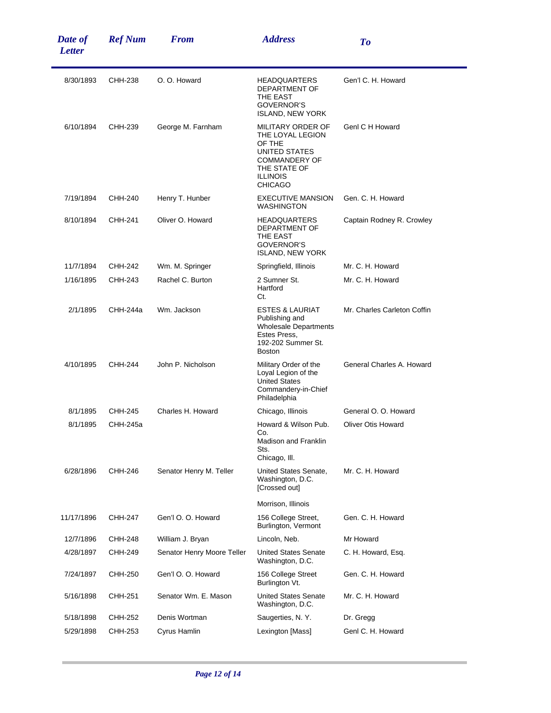| Date of<br><b>Letter</b> | <b>Ref Num</b> | <b>From</b>                | <b>Address</b>                                                                                                                                | To                          |
|--------------------------|----------------|----------------------------|-----------------------------------------------------------------------------------------------------------------------------------------------|-----------------------------|
| 8/30/1893                | CHH-238        | O. O. Howard               | <b>HEADQUARTERS</b><br>DEPARTMENT OF<br>THE EAST<br>GOVERNOR'S<br><b>ISLAND, NEW YORK</b>                                                     | Gen'l C. H. Howard          |
| 6/10/1894                | CHH-239        | George M. Farnham          | MILITARY ORDER OF<br>THE LOYAL LEGION<br>OF THE<br>UNITED STATES<br><b>COMMANDERY OF</b><br>THE STATE OF<br><b>ILLINOIS</b><br><b>CHICAGO</b> | Genl C H Howard             |
| 7/19/1894                | CHH-240        | Henry T. Hunber            | <b>EXECUTIVE MANSION</b><br>WASHINGTON                                                                                                        | Gen. C. H. Howard           |
| 8/10/1894                | CHH-241        | Oliver O. Howard           | <b>HEADQUARTERS</b><br>DEPARTMENT OF<br>THE EAST<br><b>GOVERNOR'S</b><br><b>ISLAND, NEW YORK</b>                                              | Captain Rodney R. Crowley   |
| 11/7/1894                | CHH-242        | Wm. M. Springer            | Springfield, Illinois                                                                                                                         | Mr. C. H. Howard            |
| 1/16/1895                | CHH-243        | Rachel C. Burton           | 2 Sumner St.<br>Hartford<br>Ct.                                                                                                               | Mr. C. H. Howard            |
| 2/1/1895                 | CHH-244a       | Wm. Jackson                | <b>ESTES &amp; LAURIAT</b><br>Publishing and<br><b>Wholesale Departments</b><br>Estes Press,<br>192-202 Summer St.<br><b>Boston</b>           | Mr. Charles Carleton Coffin |
| 4/10/1895                | CHH-244        | John P. Nicholson          | Military Order of the<br>Loyal Legion of the<br><b>United States</b><br>Commandery-in-Chief<br>Philadelphia                                   | General Charles A. Howard   |
| 8/1/1895                 | CHH-245        | Charles H. Howard          | Chicago, Illinois                                                                                                                             | General O. O. Howard        |
| 8/1/1895                 | CHH-245a       |                            | Howard & Wilson Pub.<br>Co.<br>Madison and Franklin<br>Sts.<br>Chicago, III.                                                                  | <b>Oliver Otis Howard</b>   |
| 6/28/1896                | CHH-246        | Senator Henry M. Teller    | United States Senate,<br>Washington, D.C.<br>[Crossed out]                                                                                    | Mr. C. H. Howard            |
|                          |                |                            | Morrison, Illinois                                                                                                                            |                             |
| 11/17/1896               | CHH-247        | Gen'l O. O. Howard         | 156 College Street,<br>Burlington, Vermont                                                                                                    | Gen. C. H. Howard           |
| 12/7/1896                | CHH-248        | William J. Bryan           | Lincoln, Neb.                                                                                                                                 | Mr Howard                   |
| 4/28/1897                | CHH-249        | Senator Henry Moore Teller | <b>United States Senate</b><br>Washington, D.C.                                                                                               | C. H. Howard, Esq.          |
| 7/24/1897                | CHH-250        | Gen'l O. O. Howard         | 156 College Street<br>Burlington Vt.                                                                                                          | Gen. C. H. Howard           |
| 5/16/1898                | CHH-251        | Senator Wm. E. Mason       | <b>United States Senate</b><br>Washington, D.C.                                                                                               | Mr. C. H. Howard            |
| 5/18/1898                | CHH-252        | Denis Wortman              | Saugerties, N.Y.                                                                                                                              | Dr. Gregg                   |
| 5/29/1898                | CHH-253        | Cyrus Hamlin               | Lexington [Mass]                                                                                                                              | Genl C. H. Howard           |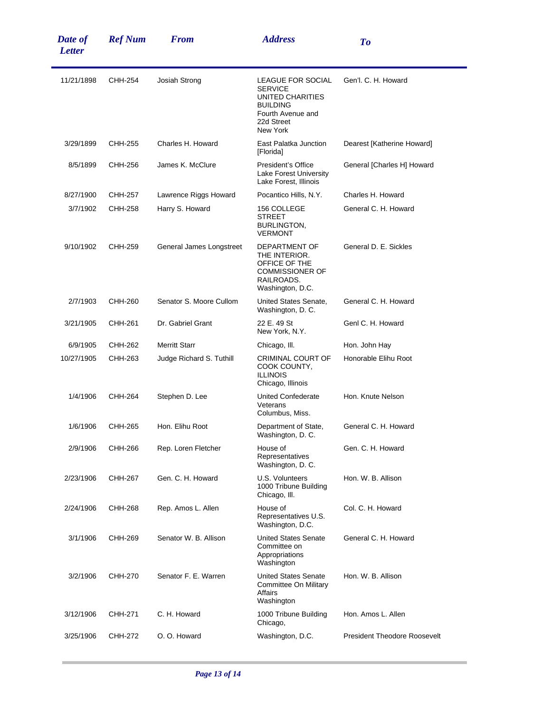| Date of<br><b>Letter</b> | <b>Ref Num</b> | <b>From</b>              | <b>Address</b>                                                                                                            | To                                  |
|--------------------------|----------------|--------------------------|---------------------------------------------------------------------------------------------------------------------------|-------------------------------------|
| 11/21/1898               | CHH-254        | Josiah Strong            | LEAGUE FOR SOCIAL<br><b>SERVICE</b><br>UNITED CHARITIES<br><b>BUILDING</b><br>Fourth Avenue and<br>22d Street<br>New York | Gen'l. C. H. Howard                 |
| 3/29/1899                | CHH-255        | Charles H. Howard        | East Palatka Junction<br>[Florida]                                                                                        | Dearest [Katherine Howard]          |
| 8/5/1899                 | CHH-256        | James K. McClure         | President's Office<br>Lake Forest University<br>Lake Forest, Illinois                                                     | General [Charles H] Howard          |
| 8/27/1900                | CHH-257        | Lawrence Riggs Howard    | Pocantico Hills, N.Y.                                                                                                     | Charles H. Howard                   |
| 3/7/1902                 | CHH-258        | Harry S. Howard          | 156 COLLEGE<br><b>STREET</b><br>BURLINGTON,<br><b>VERMONT</b>                                                             | General C. H. Howard                |
| 9/10/1902                | CHH-259        | General James Longstreet | DEPARTMENT OF<br>THE INTERIOR.<br>OFFICE OF THE<br><b>COMMISSIONER OF</b><br>RAILROADS.<br>Washington, D.C.               | General D. E. Sickles               |
| 2/7/1903                 | CHH-260        | Senator S. Moore Cullom  | United States Senate,<br>Washington, D. C.                                                                                | General C. H. Howard                |
| 3/21/1905                | CHH-261        | Dr. Gabriel Grant        | 22 E. 49 St<br>New York, N.Y.                                                                                             | Genl C. H. Howard                   |
| 6/9/1905                 | CHH-262        | <b>Merritt Starr</b>     | Chicago, III.                                                                                                             | Hon. John Hay                       |
| 10/27/1905               | CHH-263        | Judge Richard S. Tuthill | CRIMINAL COURT OF<br>COOK COUNTY,<br><b>ILLINOIS</b><br>Chicago, Illinois                                                 | Honorable Elihu Root                |
| 1/4/1906                 | CHH-264        | Stephen D. Lee           | <b>United Confederate</b><br>Veterans<br>Columbus, Miss.                                                                  | Hon, Knute Nelson                   |
| 1/6/1906                 | CHH-265        | Hon. Elihu Root          | Department of State,<br>Washington, D.C.                                                                                  | General C. H. Howard                |
| 2/9/1906                 | CHH-266        | Rep. Loren Fletcher      | House of<br>Representatives<br>Washington, D.C.                                                                           | Gen. C. H. Howard                   |
| 2/23/1906                | CHH-267        | Gen. C. H. Howard        | U.S. Volunteers<br>1000 Tribune Building<br>Chicago, III.                                                                 | Hon. W. B. Allison                  |
| 2/24/1906                | CHH-268        | Rep. Amos L. Allen       | House of<br>Representatives U.S.<br>Washington, D.C.                                                                      | Col. C. H. Howard                   |
| 3/1/1906                 | CHH-269        | Senator W. B. Allison    | <b>United States Senate</b><br>Committee on<br>Appropriations<br>Washington                                               | General C. H. Howard                |
| 3/2/1906                 | CHH-270        | Senator F. E. Warren     | <b>United States Senate</b><br>Committee On Military<br>Affairs<br>Washington                                             | Hon. W. B. Allison                  |
| 3/12/1906                | CHH-271        | C. H. Howard             | 1000 Tribune Building<br>Chicago,                                                                                         | Hon. Amos L. Allen                  |
| 3/25/1906                | CHH-272        | O. O. Howard             | Washington, D.C.                                                                                                          | <b>President Theodore Roosevelt</b> |